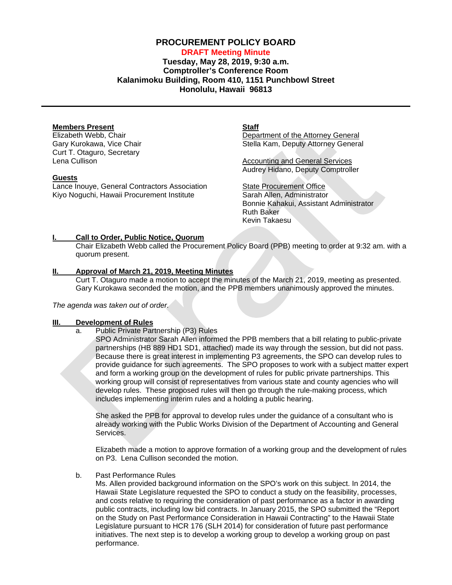# **PROCUREMENT POLICY BOARD**

# **DRAFT Meeting Minute Tuesday, May 28, 2019, 9:30 a.m. Comptroller's Conference Room Kalanimoku Building, Room 410, 1151 Punchbowl Street Honolulu, Hawaii 96813**

## **Members Present**

Elizabeth Webb, Chair Gary Kurokawa, Vice Chair Curt T. Otaguro, Secretary Lena Cullison

#### **Guests**

Lance Inouye, General Contractors Association Kiyo Noguchi, Hawaii Procurement Institute

#### **Staff**

Department of the Attorney General Stella Kam, Deputy Attorney General

Accounting and General Services Audrey Hidano, Deputy Comptroller

State Procurement Office Sarah Allen, Administrator Bonnie Kahakui, Assistant Administrator Ruth Baker Kevin Takaesu

## **I. Call to Order, Public Notice, Quorum**

Chair Elizabeth Webb called the Procurement Policy Board (PPB) meeting to order at 9:32 am. with a quorum present.

## **II. Approval of March 21, 2019, [Meeting Minutes](http://spo.hawaii.gov/wp-content/uploads/2014/10/2014_0929-PROCUREMENT-POLICY-BOARD-minutes-DRAFT.pdf)**

Curt T. Otaguro made a motion to accept the minutes of the March 21, 2019, meeting as presented. Gary Kurokawa seconded the motion, and the PPB members unanimously approved the minutes.

*The agenda was taken out of order.*

## **III. Development of Rules**

- a. Public Private Partnership (P3) Rules
	- SPO Administrator Sarah Allen informed the PPB members that a bill relating to public-private partnerships (HB 889 HD1 SD1, attached) made its way through the session, but did not pass. Because there is great interest in implementing P3 agreements, the SPO can develop rules to provide guidance for such agreements. The SPO proposes to work with a subject matter expert and form a working group on the development of rules for public private partnerships. This working group will consist of representatives from various state and county agencies who will develop rules. These proposed rules will then go through the rule-making process, which includes implementing interim rules and a holding a public hearing.

She asked the PPB for approval to develop rules under the guidance of a consultant who is already working with the Public Works Division of the Department of Accounting and General Services.

Elizabeth made a motion to approve formation of a working group and the development of rules on P3. Lena Cullison seconded the motion.

#### b. Past Performance Rules

Ms. Allen provided background information on the SPO's work on this subject. In 2014, the Hawaii State Legislature requested the SPO to conduct a study on the feasibility, processes, and costs relative to requiring the consideration of past performance as a factor in awarding public contracts, including low bid contracts. In January 2015, the SPO submitted the "Report on the Study on Past Performance Consideration in Hawaii Contracting" to the Hawaii State Legislature pursuant to HCR 176 (SLH 2014) for consideration of future past performance initiatives. The next step is to develop a working group to develop a working group on past performance.